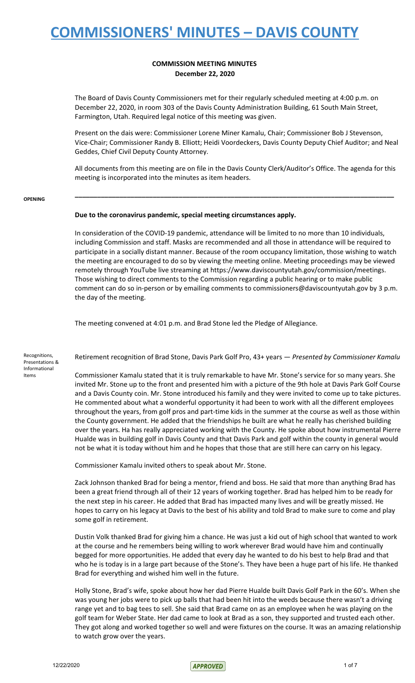### **COMMISSION MEETING MINUTES December 22, 2020**

The Board of Davis County Commissioners met for their regularly scheduled meeting at 4:00 p.m. on December 22, 2020, in room 303 of the Davis County Administration Building, 61 South Main Street, Farmington, Utah. Required legal notice of this meeting was given.

Present on the dais were: Commissioner Lorene Miner Kamalu, Chair; Commissioner Bob J Stevenson, Vice-Chair; Commissioner Randy B. Elliott; Heidi Voordeckers, Davis County Deputy Chief Auditor; and Neal Geddes, Chief Civil Deputy County Attorney.

All documents from this meeting are on file in the Davis County Clerk/Auditor's Office. The agenda for this meeting is incorporated into the minutes as item headers.

**\_\_\_\_\_\_\_\_\_\_\_\_\_\_\_\_\_\_\_\_\_\_\_\_\_\_\_\_\_\_\_\_\_\_\_\_\_\_\_\_\_\_\_\_\_\_\_\_\_\_\_\_\_\_\_\_\_\_\_\_\_\_\_\_\_\_\_\_\_\_\_\_\_\_\_\_\_\_\_\_\_\_\_\_\_\_**

#### **OPENING**

### **Due to the coronavirus pandemic, special meeting circumstances apply.**

In consideration of the COVID-19 pandemic, attendance will be limited to no more than 10 individuals, including Commission and staff. Masks are recommended and all those in attendance will be required to participate in a socially distant manner. Because of the room occupancy limitation, those wishing to watch the meeting are encouraged to do so by viewing the meeting online. Meeting proceedings may be viewed remotely through YouTube live streaming at https://www.daviscountyutah.gov/commission/meetings. Those wishing to direct comments to the Commission regarding a public hearing or to make public comment can do so in-person or by emailing comments to commissioners@daviscountyutah.gov by 3 p.m. the day of the meeting.

The meeting convened at 4:01 p.m. and Brad Stone led the Pledge of Allegiance.

#### Recognitions, Presentations & Informational Items

Retirement recognition of Brad Stone, Davis Park Golf Pro, 43+ years — *Presented by Commissioner Kamalu*

Commissioner Kamalu stated that it is truly remarkable to have Mr. Stone's service for so many years. She invited Mr. Stone up to the front and presented him with a picture of the 9th hole at Davis Park Golf Course and a Davis County coin. Mr. Stone introduced his family and they were invited to come up to take pictures. He commented about what a wonderful opportunity it had been to work with all the different employees throughout the years, from golf pros and part-time kids in the summer at the course as well as those within the County government. He added that the friendships he built are what he really has cherished building over the years. Ha has really appreciated working with the County. He spoke about how instrumental Pierre Hualde was in building golf in Davis County and that Davis Park and golf within the county in general would not be what it is today without him and he hopes that those that are still here can carry on his legacy.

Commissioner Kamalu invited others to speak about Mr. Stone.

Zack Johnson thanked Brad for being a mentor, friend and boss. He said that more than anything Brad has been a great friend through all of their 12 years of working together. Brad has helped him to be ready for the next step in his career. He added that Brad has impacted many lives and will be greatly missed. He hopes to carry on his legacy at Davis to the best of his ability and told Brad to make sure to come and play some golf in retirement.

Dustin Volk thanked Brad for giving him a chance. He was just a kid out of high school that wanted to work at the course and he remembers being willing to work wherever Brad would have him and continually begged for more opportunities. He added that every day he wanted to do his best to help Brad and that who he is today is in a large part because of the Stone's. They have been a huge part of his life. He thanked Brad for everything and wished him well in the future.

Holly Stone, Brad's wife, spoke about how her dad Pierre Hualde built Davis Golf Park in the 60's. When she was young her jobs were to pick up balls that had been hit into the weeds because there wasn't a driving range yet and to bag tees to sell. She said that Brad came on as an employee when he was playing on the golf team for Weber State. Her dad came to look at Brad as a son, they supported and trusted each other. They got along and worked together so well and were fixtures on the course. It was an amazing relationship to watch grow over the years.

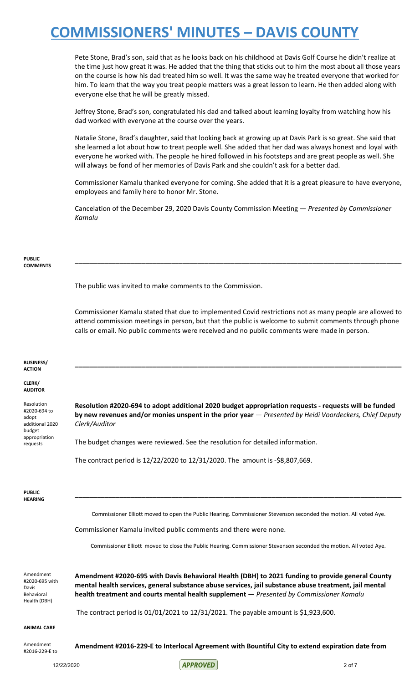Pete Stone, Brad's son, said that as he looks back on his childhood at Davis Golf Course he didn't realize at the time just how great it was. He added that the thing that sticks out to him the most about all those years on the course is how his dad treated him so well. It was the same way he treated everyone that worked for him. To learn that the way you treat people matters was a great lesson to learn. He then added along with everyone else that he will be greatly missed.

Jeffrey Stone, Brad's son, congratulated his dad and talked about learning loyalty from watching how his dad worked with everyone at the course over the years.

Natalie Stone, Brad's daughter, said that looking back at growing up at Davis Park is so great. She said that she learned a lot about how to treat people well. She added that her dad was always honest and loyal with everyone he worked with. The people he hired followed in his footsteps and are great people as well. She will always be fond of her memories of Davis Park and she couldn't ask for a better dad.

Commissioner Kamalu thanked everyone for coming. She added that it is a great pleasure to have everyone, employees and family here to honor Mr. Stone.

Cancelation of the December 29, 2020 Davis County Commission Meeting — *Presented by Commissioner Kamalu*

#### **PUBLIC COMMENTS**

The public was invited to make comments to the Commission.

Commissioner Kamalu stated that due to implemented Covid restrictions not as many people are allowed to attend commission meetings in person, but that the public is welcome to submit comments through phone calls or email. No public comments were received and no public comments were made in person.

**\_\_\_\_\_\_\_\_\_\_\_\_\_\_\_\_\_\_\_\_\_\_\_\_\_\_\_\_\_\_\_\_\_\_\_\_\_\_\_\_\_\_\_\_\_\_\_\_\_\_\_\_\_\_\_\_\_\_\_\_\_\_\_\_\_\_\_\_\_\_\_\_\_\_\_\_\_\_\_\_\_\_\_\_\_\_\_\_**

| <b>BUSINESS/</b><br><b>ACTION</b>                                         |                                                                                                                                                                                                                                                                                                      |
|---------------------------------------------------------------------------|------------------------------------------------------------------------------------------------------------------------------------------------------------------------------------------------------------------------------------------------------------------------------------------------------|
| CLERK/<br><b>AUDITOR</b>                                                  |                                                                                                                                                                                                                                                                                                      |
| Resolution<br>#2020-694 to<br>adopt<br>additional 2020<br>budget          | Resolution #2020-694 to adopt additional 2020 budget appropriation requests - requests will be funded<br>by new revenues and/or monies unspent in the prior year - Presented by Heidi Voordeckers, Chief Deputy<br>Clerk/Auditor                                                                     |
| appropriation<br>requests                                                 | The budget changes were reviewed. See the resolution for detailed information.                                                                                                                                                                                                                       |
|                                                                           | The contract period is 12/22/2020 to 12/31/2020. The amount is -\$8,807,669.                                                                                                                                                                                                                         |
|                                                                           |                                                                                                                                                                                                                                                                                                      |
| <b>PUBLIC</b><br><b>HEARING</b>                                           |                                                                                                                                                                                                                                                                                                      |
|                                                                           | Commissioner Elliott moved to open the Public Hearing. Commissioner Stevenson seconded the motion. All voted Aye.                                                                                                                                                                                    |
|                                                                           | Commissioner Kamalu invited public comments and there were none.                                                                                                                                                                                                                                     |
|                                                                           | Commissioner Elliott moved to close the Public Hearing. Commissioner Stevenson seconded the motion. All voted Aye.                                                                                                                                                                                   |
|                                                                           |                                                                                                                                                                                                                                                                                                      |
| Amendment<br>#2020-695 with<br>Davis<br><b>Behavioral</b><br>Health (DBH) | Amendment #2020-695 with Davis Behavioral Health (DBH) to 2021 funding to provide general County<br>mental health services, general substance abuse services, jail substance abuse treatment, jail mental<br>health treatment and courts mental health supplement - Presented by Commissioner Kamalu |
|                                                                           | The contract period is $01/01/2021$ to $12/31/2021$ . The payable amount is \$1,923,600.                                                                                                                                                                                                             |
| <b>ANIMAL CARE</b>                                                        |                                                                                                                                                                                                                                                                                                      |
| Amendment<br>#2016-229-E to                                               | Amendment #2016-229-E to Interlocal Agreement with Bountiful City to extend expiration date from                                                                                                                                                                                                     |

12/22/2020 2 of 7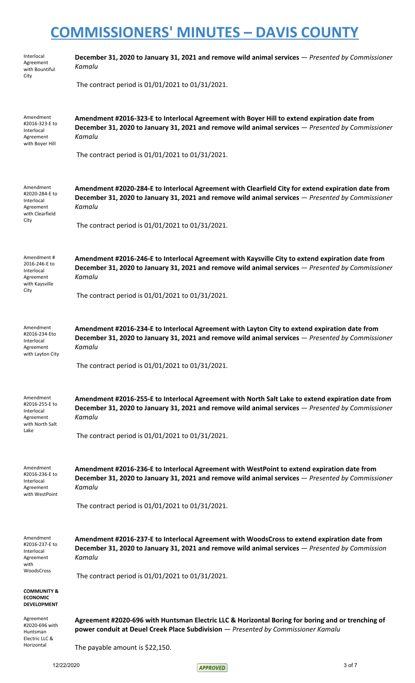| Interlocal<br>Agreement<br>with Bountiful                                         | December 31, 2020 to January 31, 2021 and remove wild animal services - Presented by Commissioner<br>Kamalu                                                                                                       |
|-----------------------------------------------------------------------------------|-------------------------------------------------------------------------------------------------------------------------------------------------------------------------------------------------------------------|
| City                                                                              | The contract period is 01/01/2021 to 01/31/2021.                                                                                                                                                                  |
| Amendment<br>#2016-323-E to<br>Interlocal<br>Agreement<br>with Boyer Hill         | Amendment #2016-323-E to Interlocal Agreement with Boyer Hill to extend expiration date from<br>December 31, 2020 to January 31, 2021 and remove wild animal services - Presented by Commissioner<br>Kamalu       |
|                                                                                   | The contract period is 01/01/2021 to 01/31/2021.                                                                                                                                                                  |
| Amendment<br>#2020-284-E to<br>Interlocal<br>Agreement<br>with Clearfield         | Amendment #2020-284-E to Interlocal Agreement with Clearfield City for extend expiration date from<br>December 31, 2020 to January 31, 2021 and remove wild animal services - Presented by Commissioner<br>Kamalu |
| City                                                                              | The contract period is 01/01/2021 to 01/31/2021.                                                                                                                                                                  |
| Amendment#<br>2016-246-E to<br>Interlocal<br>Agreement<br>with Kaysville          | Amendment #2016-246-E to Interlocal Agreement with Kaysville City to extend expiration date from<br>December 31, 2020 to January 31, 2021 and remove wild animal services - Presented by Commissioner<br>Kamalu   |
| City                                                                              | The contract period is 01/01/2021 to 01/31/2021.                                                                                                                                                                  |
| Amendment<br>#2016-234-Eto<br>Interlocal<br>Agreement<br>with Layton City         | Amendment #2016-234-E to Interlocal Agreement with Layton City to extend expiration date from<br>December 31, 2020 to January 31, 2021 and remove wild animal services - Presented by Commissioner<br>Kamalu      |
|                                                                                   | The contract period is 01/01/2021 to 01/31/2021.                                                                                                                                                                  |
| Amendment<br>#2016-255-E to<br>Interlocal<br>Agreement<br>with North Salt<br>Lake | Amendment #2016-255-E to Interlocal Agreement with North Salt Lake to extend expiration date from<br>December 31, 2020 to January 31, 2021 and remove wild animal services - Presented by Commissioner<br>Kamalu  |
|                                                                                   | The contract period is 01/01/2021 to 01/31/2021.                                                                                                                                                                  |
| Amendment<br>#2016-236-E to<br>Interlocal<br>Agreement<br>with WestPoint          | Amendment #2016-236-E to Interlocal Agreement with WestPoint to extend expiration date from<br>December 31, 2020 to January 31, 2021 and remove wild animal services - Presented by Commissioner<br>Kamalu        |
|                                                                                   | The contract period is 01/01/2021 to 01/31/2021.                                                                                                                                                                  |
| Amendment<br>#2016-237-E to<br>Interlocal<br>Agreement<br>with<br>WoodsCross      | Amendment #2016-237-E to Interlocal Agreement with WoodsCross to extend expiration date from<br>December 31, 2020 to January 31, 2021 and remove wild animal services - Presented by Commission<br>Kamalu         |
|                                                                                   | The contract period is 01/01/2021 to 01/31/2021.                                                                                                                                                                  |
| <b>COMMUNITY &amp;</b><br><b>ECONOMIC</b><br><b>DEVELOPMENT</b>                   |                                                                                                                                                                                                                   |
| Agreement<br>#2020-696 with<br>Huntsman<br>Electric LLC &<br>Horizontal           | Agreement #2020-696 with Huntsman Electric LLC & Horizontal Boring for boring and or trenching of<br>power conduit at Deuel Creek Place Subdivision - Presented by Commissioner Kamalu                            |
|                                                                                   | The payable amount is \$22,150.                                                                                                                                                                                   |

12/22/2020 3 of 7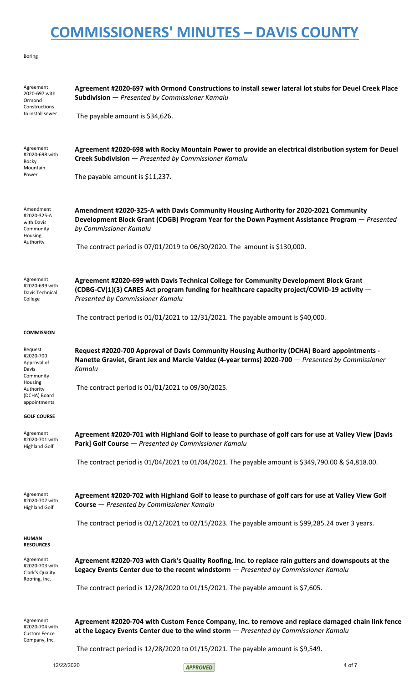#### Boring

| Agreement<br>2020-697 with<br>Ormond<br>Constructions<br>to install sewer                                         | Agreement #2020-697 with Ormond Constructions to install sewer lateral lot stubs for Deuel Creek Place<br>Subdivision - Presented by Commissioner Kamalu<br>The payable amount is \$34,626.                                                                                                    |
|-------------------------------------------------------------------------------------------------------------------|------------------------------------------------------------------------------------------------------------------------------------------------------------------------------------------------------------------------------------------------------------------------------------------------|
| Agreement<br>#2020-698 with<br>Rocky<br>Mountain<br>Power                                                         | Agreement #2020-698 with Rocky Mountain Power to provide an electrical distribution system for Deuel<br>Creek Subdivision - Presented by Commissioner Kamalu<br>The payable amount is \$11,237.                                                                                                |
| Amendment<br>#2020-325-A<br>with Davis<br>Community<br>Housing<br>Authority                                       | Amendment #2020-325-A with Davis Community Housing Authority for 2020-2021 Community<br>Development Block Grant (CDGB) Program Year for the Down Payment Assistance Program – Presented<br>by Commissioner Kamalu<br>The contract period is 07/01/2019 to 06/30/2020. The amount is \$130,000. |
| Agreement<br>#2020-699 with<br>Davis Technical<br>College                                                         | Agreement #2020-699 with Davis Technical College for Community Development Block Grant<br>(CDBG-CV(1)(3) CARES Act program funding for healthcare capacity project/COVID-19 activity -<br>Presented by Commissioner Kamalu                                                                     |
|                                                                                                                   | The contract period is $01/01/2021$ to $12/31/2021$ . The payable amount is \$40,000.                                                                                                                                                                                                          |
| <b>COMMISSION</b>                                                                                                 |                                                                                                                                                                                                                                                                                                |
| Request<br>#2020-700<br>Approval of<br>Davis<br>Community<br>Housing<br>Authority<br>(DCHA) Board<br>appointments | Request #2020-700 Approval of Davis Community Housing Authority (DCHA) Board appointments -<br>Nanette Graviet, Grant Jex and Marcie Valdez (4-year terms) 2020-700 - Presented by Commissioner<br>Kamalu<br>The contract period is 01/01/2021 to 09/30/2025.                                  |
| <b>GOLF COURSE</b>                                                                                                |                                                                                                                                                                                                                                                                                                |
| Agreement<br>#2020-701 with<br><b>Highland Golf</b>                                                               | Agreement #2020-701 with Highland Golf to lease to purchase of golf cars for use at Valley View [Davis<br>Park] Golf Course - Presented by Commissioner Kamalu                                                                                                                                 |
|                                                                                                                   | The contract period is 01/04/2021 to 01/04/2021. The payable amount is \$349,790.00 & \$4,818.00.                                                                                                                                                                                              |
| Agreement<br>#2020-702 with<br><b>Highland Golf</b>                                                               | Agreement #2020-702 with Highland Golf to lease to purchase of golf cars for use at Valley View Golf<br><b>Course</b> - Presented by Commissioner Kamalu                                                                                                                                       |
| <b>HUMAN</b>                                                                                                      | The contract period is $02/12/2021$ to $02/15/2023$ . The payable amount is \$99,285.24 over 3 years.                                                                                                                                                                                          |
| <b>RESOURCES</b><br>Agreement<br>#2020-703 with<br>Clark's Quality<br>Roofing, Inc.                               | Agreement #2020-703 with Clark's Quality Roofing, Inc. to replace rain gutters and downspouts at the<br>Legacy Events Center due to the recent windstorm - Presented by Commissioner Kamalu                                                                                                    |
|                                                                                                                   | The contract period is 12/28/2020 to 01/15/2021. The payable amount is \$7,605.                                                                                                                                                                                                                |
| Agreement<br>#2020-704 with<br><b>Custom Fence</b><br>Company, Inc.                                               | Agreement #2020-704 with Custom Fence Company, Inc. to remove and replace damaged chain link fence<br>at the Legacy Events Center due to the wind storm $-$ Presented by Commissioner Kamalu<br>The contract period is $12/28/2020$ to $01/15/2021$ . The payable amount is \$9,549.           |

12/22/2020 4 of 7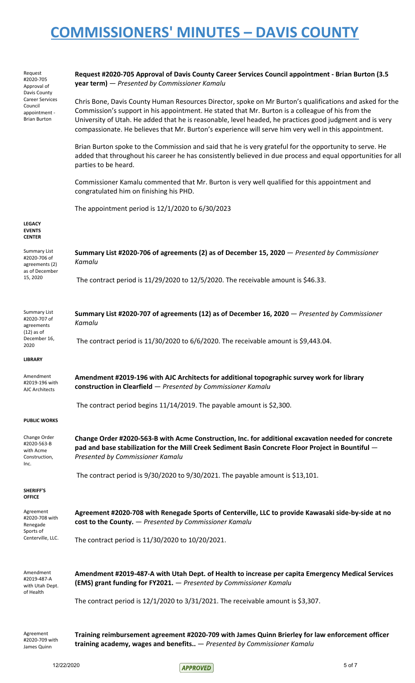| Request<br>#2020-705<br>Approval of<br>Davis County<br><b>Career Services</b><br>Council<br>appointment -<br><b>Brian Burton</b> | Request #2020-705 Approval of Davis County Career Services Council appointment - Brian Burton (3.5<br>year term) - Presented by Commissioner Kamalu                                                                                                                                                                                                                                                                                |
|----------------------------------------------------------------------------------------------------------------------------------|------------------------------------------------------------------------------------------------------------------------------------------------------------------------------------------------------------------------------------------------------------------------------------------------------------------------------------------------------------------------------------------------------------------------------------|
|                                                                                                                                  | Chris Bone, Davis County Human Resources Director, spoke on Mr Burton's qualifications and asked for the<br>Commission's support in his appointment. He stated that Mr. Burton is a colleague of his from the<br>University of Utah. He added that he is reasonable, level headed, he practices good judgment and is very<br>compassionate. He believes that Mr. Burton's experience will serve him very well in this appointment. |
|                                                                                                                                  | Brian Burton spoke to the Commission and said that he is very grateful for the opportunity to serve. He<br>added that throughout his career he has consistently believed in due process and equal opportunities for all<br>parties to be heard.                                                                                                                                                                                    |
|                                                                                                                                  | Commissioner Kamalu commented that Mr. Burton is very well qualified for this appointment and<br>congratulated him on finishing his PHD.                                                                                                                                                                                                                                                                                           |
|                                                                                                                                  | The appointment period is 12/1/2020 to 6/30/2023                                                                                                                                                                                                                                                                                                                                                                                   |
| <b>LEGACY</b><br><b>EVENTS</b><br><b>CENTER</b>                                                                                  |                                                                                                                                                                                                                                                                                                                                                                                                                                    |
| <b>Summary List</b><br>#2020-706 of<br>agreements (2)                                                                            | Summary List #2020-706 of agreements (2) as of December 15, 2020 - Presented by Commissioner<br>Kamalu                                                                                                                                                                                                                                                                                                                             |
| as of December<br>15, 2020                                                                                                       | The contract period is $11/29/2020$ to $12/5/2020$ . The receivable amount is \$46.33.                                                                                                                                                                                                                                                                                                                                             |
| <b>Summary List</b><br>#2020-707 of<br>agreements                                                                                | Summary List #2020-707 of agreements (12) as of December 16, 2020 - Presented by Commissioner<br>Kamalu                                                                                                                                                                                                                                                                                                                            |
| $(12)$ as of<br>December 16,<br>2020                                                                                             | The contract period is 11/30/2020 to 6/6/2020. The receivable amount is \$9,443.04.                                                                                                                                                                                                                                                                                                                                                |
| <b>LIBRARY</b>                                                                                                                   |                                                                                                                                                                                                                                                                                                                                                                                                                                    |
| Amendment<br>#2019-196 with<br><b>AJC Architects</b>                                                                             | Amendment #2019-196 with AJC Architects for additional topographic survey work for library<br>construction in Clearfield - Presented by Commissioner Kamalu                                                                                                                                                                                                                                                                        |
|                                                                                                                                  | The contract period begins $11/14/2019$ . The payable amount is \$2,300.                                                                                                                                                                                                                                                                                                                                                           |
| <b>PUBLIC WORKS</b>                                                                                                              |                                                                                                                                                                                                                                                                                                                                                                                                                                    |
| Change Order<br>#2020-563-B<br>with Acme<br>Construction,<br>Inc.                                                                | Change Order #2020-563-B with Acme Construction, Inc. for additional excavation needed for concrete<br>pad and base stabilization for the Mill Creek Sediment Basin Concrete Floor Project in Bountiful -<br>Presented by Commissioner Kamalu                                                                                                                                                                                      |
|                                                                                                                                  | The contract period is 9/30/2020 to 9/30/2021. The payable amount is \$13,101.                                                                                                                                                                                                                                                                                                                                                     |
| SHERIFF'S<br><b>OFFICE</b>                                                                                                       |                                                                                                                                                                                                                                                                                                                                                                                                                                    |
| Agreement<br>#2020-708 with<br>Renegade<br>Sports of<br>Centerville, LLC.                                                        | Agreement #2020-708 with Renegade Sports of Centerville, LLC to provide Kawasaki side-by-side at no<br>cost to the County. - Presented by Commissioner Kamalu                                                                                                                                                                                                                                                                      |
|                                                                                                                                  | The contract period is 11/30/2020 to 10/20/2021.                                                                                                                                                                                                                                                                                                                                                                                   |
| Amendment<br>#2019-487-A<br>with Utah Dept.<br>of Health                                                                         | Amendment #2019-487-A with Utah Dept. of Health to increase per capita Emergency Medical Services<br>(EMS) grant funding for FY2021. - Presented by Commissioner Kamalu                                                                                                                                                                                                                                                            |
|                                                                                                                                  | The contract period is $12/1/2020$ to $3/31/2021$ . The receivable amount is \$3,307.                                                                                                                                                                                                                                                                                                                                              |
| Agreement<br>#2020-709 with                                                                                                      | Training reimbursement agreement #2020-709 with James Quinn Brierley for law enforcement officer                                                                                                                                                                                                                                                                                                                                   |
| James Quinn                                                                                                                      | training academy, wages and benefits $-$ Presented by Commissioner Kamalu                                                                                                                                                                                                                                                                                                                                                          |

12/22/2020 5 of 7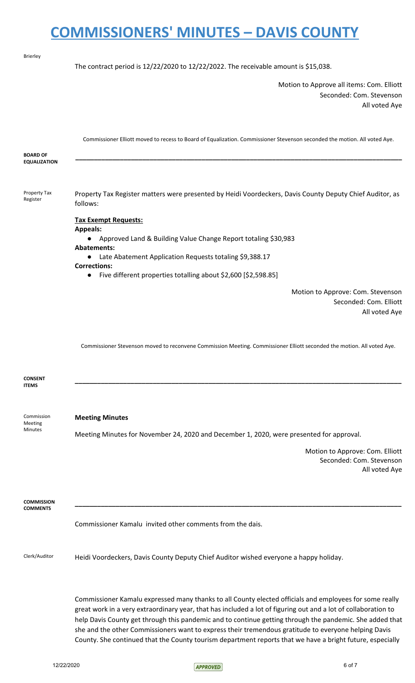| <b>Brierley</b>                         |                                                                                                                                                                                                                                                                                                                                                                                                                                               |
|-----------------------------------------|-----------------------------------------------------------------------------------------------------------------------------------------------------------------------------------------------------------------------------------------------------------------------------------------------------------------------------------------------------------------------------------------------------------------------------------------------|
|                                         | The contract period is $12/22/2020$ to $12/22/2022$ . The receivable amount is \$15,038.                                                                                                                                                                                                                                                                                                                                                      |
|                                         | Motion to Approve all items: Com. Elliott<br>Seconded: Com. Stevenson<br>All voted Aye                                                                                                                                                                                                                                                                                                                                                        |
| <b>BOARD OF</b>                         | Commissioner Elliott moved to recess to Board of Equalization. Commissioner Stevenson seconded the motion. All voted Aye.                                                                                                                                                                                                                                                                                                                     |
| <b>EQUALIZATION</b>                     |                                                                                                                                                                                                                                                                                                                                                                                                                                               |
| <b>Property Tax</b><br>Register         | Property Tax Register matters were presented by Heidi Voordeckers, Davis County Deputy Chief Auditor, as<br>follows:                                                                                                                                                                                                                                                                                                                          |
|                                         | <b>Tax Exempt Requests:</b><br><b>Appeals:</b>                                                                                                                                                                                                                                                                                                                                                                                                |
|                                         | Approved Land & Building Value Change Report totaling \$30,983                                                                                                                                                                                                                                                                                                                                                                                |
|                                         | <b>Abatements:</b><br>Late Abatement Application Requests totaling \$9,388.17<br>$\bullet$                                                                                                                                                                                                                                                                                                                                                    |
|                                         | <b>Corrections:</b><br>Five different properties totalling about \$2,600 [\$2,598.85]<br>$\bullet$                                                                                                                                                                                                                                                                                                                                            |
|                                         | Motion to Approve: Com. Stevenson<br>Seconded: Com. Elliott<br>All voted Aye                                                                                                                                                                                                                                                                                                                                                                  |
|                                         | Commissioner Stevenson moved to reconvene Commission Meeting. Commissioner Elliott seconded the motion. All voted Aye.                                                                                                                                                                                                                                                                                                                        |
| <b>CONSENT</b><br><b>ITEMS</b>          |                                                                                                                                                                                                                                                                                                                                                                                                                                               |
| Commission<br>Meeting<br><b>Minutes</b> | <b>Meeting Minutes</b>                                                                                                                                                                                                                                                                                                                                                                                                                        |
|                                         | Meeting Minutes for November 24, 2020 and December 1, 2020, were presented for approval.                                                                                                                                                                                                                                                                                                                                                      |
|                                         | Motion to Approve: Com. Elliott<br>Seconded: Com. Stevenson<br>All voted Aye                                                                                                                                                                                                                                                                                                                                                                  |
| <b>COMMISSION</b><br><b>COMMENTS</b>    |                                                                                                                                                                                                                                                                                                                                                                                                                                               |
|                                         | Commissioner Kamalu invited other comments from the dais.                                                                                                                                                                                                                                                                                                                                                                                     |
| Clerk/Auditor                           | Heidi Voordeckers, Davis County Deputy Chief Auditor wished everyone a happy holiday.                                                                                                                                                                                                                                                                                                                                                         |
|                                         | Commissioner Kamalu expressed many thanks to all County elected officials and employees for some really<br>great work in a very extraordinary year, that has included a lot of figuring out and a lot of collaboration to<br>help Davis County get through this pandemic and to continue getting through the pandemic. She added that<br>she and the other Commissioners want to express their tremendous gratitude to everyone helping Davis |

12/22/2020 6 of 7

County. She continued that the County tourism department reports that we have a bright future, especially